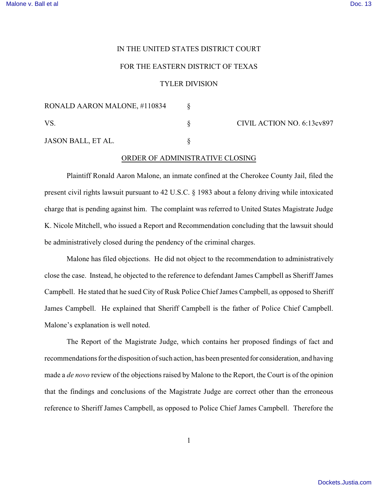## IN THE UNITED STATES DISTRICT COURT

## FOR THE EASTERN DISTRICT OF TEXAS

## TYLER DIVISION

| RONALD AARON MALONE, #110834 |                            |
|------------------------------|----------------------------|
| VS.                          | CIVIL ACTION NO. 6:13cv897 |
| JASON BALL, ET AL.           |                            |

## ORDER OF ADMINISTRATIVE CLOSING

Plaintiff Ronald Aaron Malone, an inmate confined at the Cherokee County Jail, filed the present civil rights lawsuit pursuant to 42 U.S.C. § 1983 about a felony driving while intoxicated charge that is pending against him. The complaint was referred to United States Magistrate Judge K. Nicole Mitchell, who issued a Report and Recommendation concluding that the lawsuit should be administratively closed during the pendency of the criminal charges.

Malone has filed objections. He did not object to the recommendation to administratively close the case. Instead, he objected to the reference to defendant James Campbell as Sheriff James Campbell. He stated that he sued City of Rusk Police Chief James Campbell, as opposed to Sheriff James Campbell. He explained that Sheriff Campbell is the father of Police Chief Campbell. Malone's explanation is well noted.

The Report of the Magistrate Judge, which contains her proposed findings of fact and recommendations for the disposition of such action, has been presented for consideration, and having made a *de novo* review of the objections raised by Malone to the Report, the Court is of the opinion that the findings and conclusions of the Magistrate Judge are correct other than the erroneous reference to Sheriff James Campbell, as opposed to Police Chief James Campbell. Therefore the